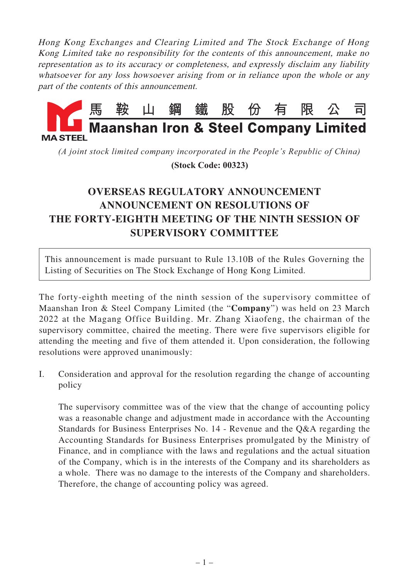Hong Kong Exchanges and Clearing Limited and The Stock Exchange of Hong Kong Limited take no responsibility for the contents of this announcement, make no representation as to its accuracy or completeness, and expressly disclaim any liability whatsoever for any loss howsoever arising from or in reliance upon the whole or any part of the contents of this announcement.



*(A joint stock limited company incorporated in the People's Republic of China)*

 **(Stock Code: 00323)**

## **OVERSEAS REGULATORY ANNOUNCEMENT ANNOUNCEMENT ON RESOLUTIONS OF THE FORTY-EIGHTH MEETING OF THE NINTH SESSION OF SUPERVISORY COMMITTEE**

This announcement is made pursuant to Rule 13.10B of the Rules Governing the Listing of Securities on The Stock Exchange of Hong Kong Limited.

The forty-eighth meeting of the ninth session of the supervisory committee of Maanshan Iron & Steel Company Limited (the "**Company**") was held on 23 March 2022 at the Magang Office Building. Mr. Zhang Xiaofeng, the chairman of the supervisory committee, chaired the meeting. There were five supervisors eligible for attending the meeting and five of them attended it. Upon consideration, the following resolutions were approved unanimously:

I. Consideration and approval for the resolution regarding the change of accounting policy

The supervisory committee was of the view that the change of accounting policy was a reasonable change and adjustment made in accordance with the Accounting Standards for Business Enterprises No. 14 - Revenue and the Q&A regarding the Accounting Standards for Business Enterprises promulgated by the Ministry of Finance, and in compliance with the laws and regulations and the actual situation of the Company, which is in the interests of the Company and its shareholders as a whole. There was no damage to the interests of the Company and shareholders. Therefore, the change of accounting policy was agreed.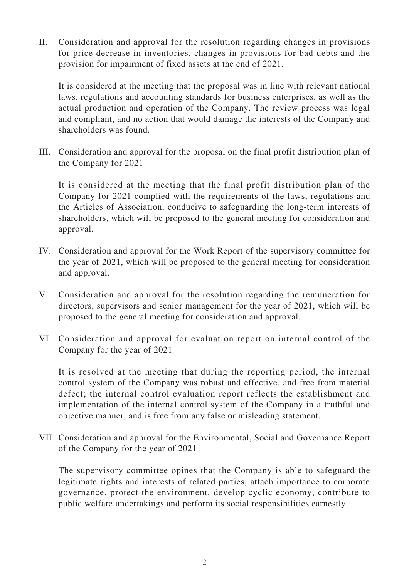II. Consideration and approval for the resolution regarding changes in provisions for price decrease in inventories, changes in provisions for bad debts and the provision for impairment of fixed assets at the end of 2021.

It is considered at the meeting that the proposal was in line with relevant national laws, regulations and accounting standards for business enterprises, as well as the actual production and operation of the Company. The review process was legal and compliant, and no action that would damage the interests of the Company and shareholders was found.

III. Consideration and approval for the proposal on the final profit distribution plan of the Company for 2021

It is considered at the meeting that the final profit distribution plan of the Company for 2021 complied with the requirements of the laws, regulations and the Articles of Association, conducive to safeguarding the long-term interests of shareholders, which will be proposed to the general meeting for consideration and approval.

- IV. Consideration and approval for the Work Report of the supervisory committee for the year of 2021, which will be proposed to the general meeting for consideration and approval.
- V. Consideration and approval for the resolution regarding the remuneration for directors, supervisors and senior management for the year of 2021, which will be proposed to the general meeting for consideration and approval.
- VI. Consideration and approval for evaluation report on internal control of the Company for the year of 2021

It is resolved at the meeting that during the reporting period, the internal control system of the Company was robust and effective, and free from material defect; the internal control evaluation report reflects the establishment and implementation of the internal control system of the Company in a truthful and objective manner, and is free from any false or misleading statement.

VII. Consideration and approval for the Environmental, Social and Governance Report of the Company for the year of 2021

The supervisory committee opines that the Company is able to safeguard the legitimate rights and interests of related parties, attach importance to corporate governance, protect the environment, develop cyclic economy, contribute to public welfare undertakings and perform its social responsibilities earnestly.